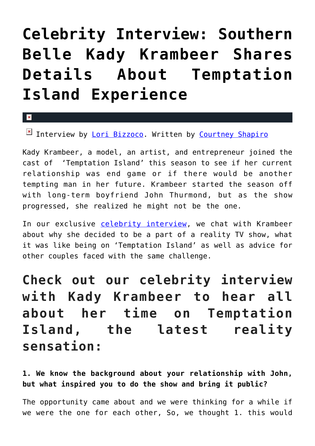# **[Celebrity Interview: Southern](https://cupidspulse.com/129311/celebrity-interview-southern-belle-kady-krambeer-shares-details-about-temptation-island-experience/) [Belle Kady Krambeer Shares](https://cupidspulse.com/129311/celebrity-interview-southern-belle-kady-krambeer-shares-details-about-temptation-island-experience/) [Details About Temptation](https://cupidspulse.com/129311/celebrity-interview-southern-belle-kady-krambeer-shares-details-about-temptation-island-experience/) [Island Experience](https://cupidspulse.com/129311/celebrity-interview-southern-belle-kady-krambeer-shares-details-about-temptation-island-experience/)**

 $\mathbf{\overline{x}}$ 

Interview by [Lori Bizzoco](http://cupidspulse.com/104596/lori-bizzoco/). Written by [Courtney Shapiro](http://cupidspulse.com/126719/courtney-shapiro/)

Kady Krambeer, a model, an artist, and entrepreneur joined the cast of 'Temptation Island' this season to see if her current relationship was end game or if there would be another tempting man in her future. Krambeer started the season off with long-term boyfriend John Thurmond, but as the show progressed, she realized he might not be the one.

In our exclusive [celebrity interview](http://cupidspulse.com/celebrity-news/celebrity-interviews/), we chat with Krambeer about why she decided to be a part of a reality TV show, what it was like being on 'Temptation Island' as well as advice for other couples faced with the same challenge.

**Check out our celebrity interview with Kady Krambeer to hear all about her time on Temptation Island, the latest reality sensation:**

**1. We know the background about your relationship with John, but what inspired you to do the show and bring it public?**

The opportunity came about and we were thinking for a while if we were the one for each other, So, we thought 1. this would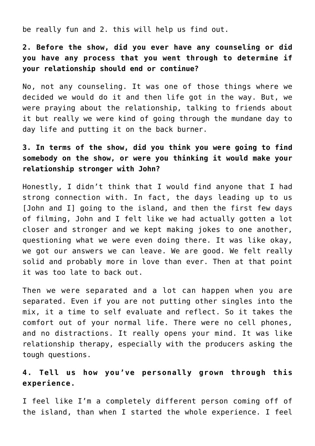be really fun and 2. this will help us find out.

**2. Before the show, did you ever have any counseling or did you have any process that you went through to determine if your relationship should end or continue?**

No, not any counseling. It was one of those things where we decided we would do it and then life got in the way. But, we were praying about the relationship, talking to friends about it but really we were kind of going through the mundane day to day life and putting it on the back burner.

# **3. In terms of the show, did you think you were going to find somebody on the show, or were you thinking it would make your relationship stronger with John?**

Honestly, I didn't think that I would find anyone that I had strong connection with. In fact, the days leading up to us [John and I] going to the island, and then the first few days of filming, John and I felt like we had actually gotten a lot closer and stronger and we kept making jokes to one another, questioning what we were even doing there. It was like okay, we got our answers we can leave. We are good. We felt really solid and probably more in love than ever. Then at that point it was too late to back out.

Then we were separated and a lot can happen when you are separated. Even if you are not putting other singles into the mix, it a time to self evaluate and reflect. So it takes the comfort out of your normal life. There were no cell phones, and no distractions. It really opens your mind. It was like relationship therapy, especially with the producers asking the tough questions.

## **4. Tell us how you've personally grown through this experience.**

I feel like I'm a completely different person coming off of the island, than when I started the whole experience. I feel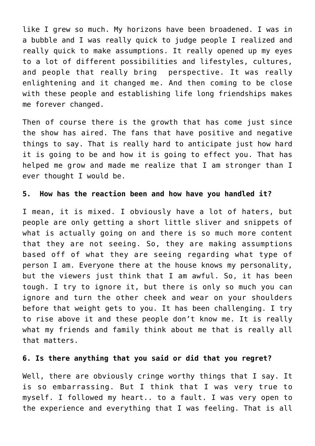like I grew so much. My horizons have been broadened. I was in a bubble and I was really quick to judge people I realized and really quick to make assumptions. It really opened up my eyes to a lot of different possibilities and lifestyles, cultures, and people that really bring perspective. It was really enlightening and it changed me. And then coming to be close with these people and establishing life long friendships makes me forever changed.

Then of course there is the growth that has come just since the show has aired. The fans that have positive and negative things to say. That is really hard to anticipate just how hard it is going to be and how it is going to effect you. That has helped me grow and made me realize that I am stronger than I ever thought I would be.

#### **5. How has the reaction been and how have you handled it?**

I mean, it is mixed. I obviously have a lot of haters, but people are only getting a short little sliver and snippets of what is actually going on and there is so much more content that they are not seeing. So, they are making assumptions based off of what they are seeing regarding what type of person I am. Everyone there at the house knows my personality, but the viewers just think that I am awful. So, it has been tough. I try to ignore it, but there is only so much you can ignore and turn the other cheek and wear on your shoulders before that weight gets to you. It has been challenging. I try to rise above it and these people don't know me. It is really what my friends and family think about me that is really all that matters.

#### **6. Is there anything that you said or did that you regret?**

Well, there are obviously cringe worthy things that I say. It is so embarrassing. But I think that I was very true to myself. I followed my heart.. to a fault. I was very open to the experience and everything that I was feeling. That is all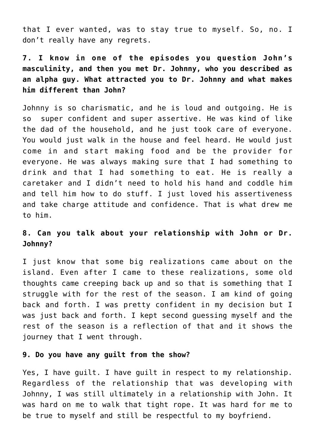that I ever wanted, was to stay true to myself. So, no. I don't really have any regrets.

**7. I know in one of the episodes you question John's masculinity, and then you met Dr. Johnny, who you described as an alpha guy. What attracted you to Dr. Johnny and what makes him different than John?**

Johnny is so charismatic, and he is loud and outgoing. He is so super confident and super assertive. He was kind of like the dad of the household, and he just took care of everyone. You would just walk in the house and feel heard. He would just come in and start making food and be the provider for everyone. He was always making sure that I had something to drink and that I had something to eat. He is really a caretaker and I didn't need to hold his hand and coddle him and tell him how to do stuff. I just loved his assertiveness and take charge attitude and confidence. That is what drew me to him.

## **8. Can you talk about your relationship with John or Dr. Johnny?**

I just know that some big realizations came about on the island. Even after I came to these realizations, some old thoughts came creeping back up and so that is something that I struggle with for the rest of the season. I am kind of going back and forth. I was pretty confident in my decision but I was just back and forth. I kept second guessing myself and the rest of the season is a reflection of that and it shows the journey that I went through.

#### **9. Do you have any guilt from the show?**

Yes, I have guilt. I have guilt in respect to my relationship. Regardless of the relationship that was developing with Johnny, I was still ultimately in a relationship with John. It was hard on me to walk that tight rope. It was hard for me to be true to myself and still be respectful to my boyfriend.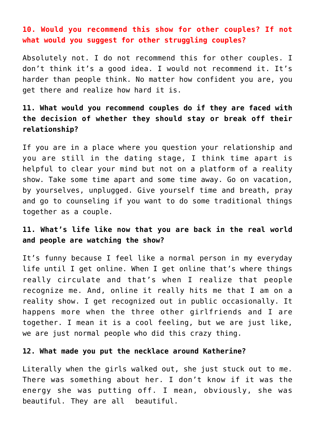## **10. Would you recommend this show for other couples? If not what would you suggest for other struggling couples?**

Absolutely not. I do not recommend this for other couples. I don't think it's a good idea. I would not recommend it. It's harder than people think. No matter how confident you are, you get there and realize how hard it is.

# **11. What would you recommend couples do if they are faced with the decision of whether they should stay or break off their relationship?**

If you are in a place where you question your relationship and you are still in the dating stage, I think time apart is helpful to clear your mind but not on a platform of a reality show. Take some time apart and some time away. Go on vacation, by yourselves, unplugged. Give yourself time and breath, pray and go to counseling if you want to do some traditional things together as a couple.

## **11. What's life like now that you are back in the real world and people are watching the show?**

It's funny because I feel like a normal person in my everyday life until I get online. When I get online that's where things really circulate and that's when I realize that people recognize me. And, online it really hits me that I am on a reality show. I get recognized out in public occasionally. It happens more when the three other girlfriends and I are together. I mean it is a cool feeling, but we are just like, we are just normal people who did this crazy thing.

#### **12. What made you put the necklace around Katherine?**

Literally when the girls walked out, she just stuck out to me. There was something about her. I don't know if it was the energy she was putting off. I mean, obviously, she was beautiful. They are all beautiful.